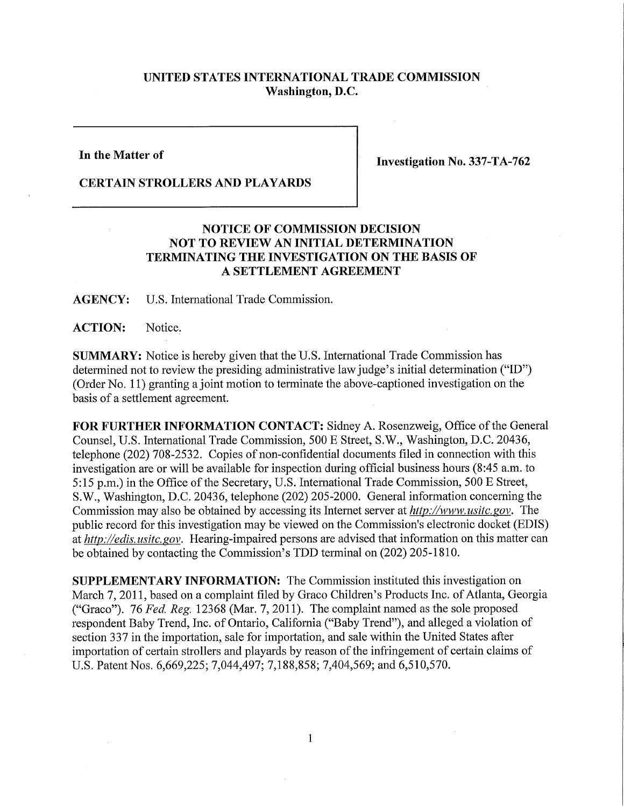## **UNITED STATES INTERNATIONAL TRADE COMMISSION Washington, D.C.**

**In the Matter of** 

**Investigation No. 337-TA-762** 

## **CERTAIN STROLLERS AND PLAYARDS**

## **NOTICE OF COMMISSION DECISION NOT TO REVIEW AN INITIAL DETERMINATION TERMINATING THE INVESTIGATION ON THE BASIS OF A SETTLEMENT AGREEMENT**

**AGENCY:** U.S. International Trade Commission.

**ACTION:** Notice.

**SUMMARY:** Notice is hereby given that the U.S. International Trade Commission has determined not to review the presiding administrative law judge's initial determination ("ID") (Order No. 11) granting a joint motion to terminate the above-captioned investigation on the basis of a settlement agreement.

FOR FURTHER INFORMATION CONTACT: Sidney A. Rosenzweig, Office of the General Counsel, U.S. Intemational Trade Commission, 500 E Street, S.W., Washington, D.C. 20436, telephone (202) 708-2532. Copies of non-confidential documents filed in connection with this investigation are or will be available for inspection during official business hours (8:45 a.m. to 5:15 p.m.) in the Office of the Secretary, U.S. International Trade Commission, 500 E Street, S.W., Washington, D.C. 20436, telephone (202) 205-2000. General information concerning the Commission may also be obtained by accessing its Internet server at  $http://www.usitc.gov.$  The public record for this investigation may be viewed on the Commission's electronic docket (EDIS) at *http://edis. usitc. gov.* Hearing-impaired persons are advised that information on this matter can be obtained by contacting the Commission's TDD terminal on (202) 205-1810.

**SUPPLEMENTARY INFORMATION:** The Commission instituted this investigation on March 7, 2011, based on a complaint filed by Graco Children's Products Inc. of Atlanta, Georgia ("Graco"). 76 *Fed, Reg.* 12368 (Mar. 7, 2011). The complaint named as the sole proposed respondent Baby Trend, Inc. of Ontario, California ("Baby Trend"), and alleged a violation of section 337 in the importation, sale for importation, and sale within the United States after importation of certain strollers and playards by reason of the infringement of certain claims of U.S. Patent Nos. 6,669,225; 7,044,497; 7,188,858; 7,404,569; and 6,510,570.